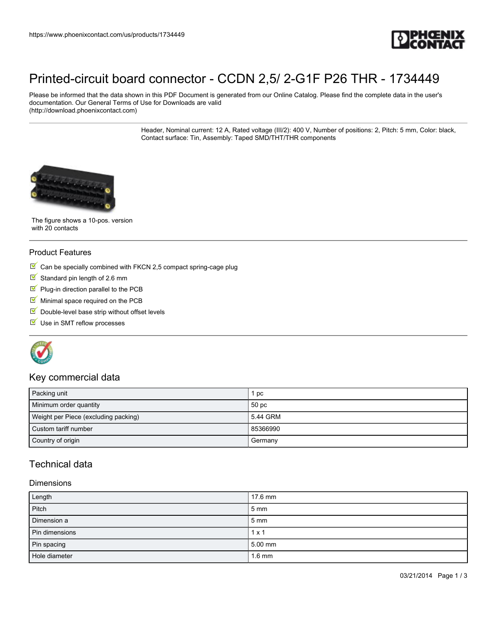

## [Printed-circuit board connector - CCDN 2,5/ 2-G1F P26 THR - 1734449](https://www.phoenixcontact.com/us/products/1734449)

Please be informed that the data shown in this PDF Document is generated from our Online Catalog. Please find the complete data in the user's documentation. Our General Terms of Use for Downloads are valid (http://download.phoenixcontact.com)

> Header, Nominal current: 12 A, Rated voltage (III/2): 400 V, Number of positions: 2, Pitch: 5 mm, Color: black, Contact surface: Tin, Assembly: Taped SMD/THT/THR components



The figure shows a 10-pos. version with 20 contacts

#### Product Features

- $\blacksquare$  Can be specially combined with FKCN 2,5 compact spring-cage plug
- $\blacksquare$  Standard pin length of 2.6 mm
- $\Psi$  Plug-in direction parallel to the PCB
- $M$  Minimal space required on the PCB
- $\blacksquare$  Double-level base strip without offset levels
- Use in SMT reflow processes



#### Key commercial data

| Packing unit                         | рc               |
|--------------------------------------|------------------|
| Minimum order quantity               | 50 <sub>pc</sub> |
| Weight per Piece (excluding packing) | 5.44 GRM         |
| Custom tariff number                 | 85366990         |
| Country of origin                    | Germany          |

## Technical data

#### Dimensions

| Length         | 17.6 mm          |
|----------------|------------------|
| Pitch          | $5 \, \text{mm}$ |
| Dimension a    | $5 \text{ mm}$   |
| Pin dimensions | $1 \times 1$     |
| Pin spacing    | 5.00 mm          |
| Hole diameter  | $1.6 \text{ mm}$ |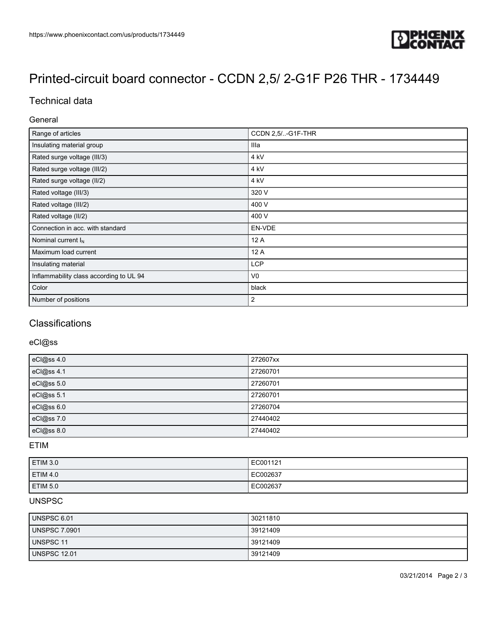

# [Printed-circuit board connector - CCDN 2,5/ 2-G1F P26 THR - 1734449](https://www.phoenixcontact.com/us/products/1734449)

## Technical data

#### General

| Range of articles                       | CCDN 2,5/-G1F-THR |
|-----------------------------------------|-------------------|
| Insulating material group               | Illa              |
| Rated surge voltage (III/3)             | 4 kV              |
| Rated surge voltage (III/2)             | 4 kV              |
| Rated surge voltage (II/2)              | 4 kV              |
| Rated voltage (III/3)                   | 320 V             |
| Rated voltage (III/2)                   | 400 V             |
| Rated voltage (II/2)                    | 400 V             |
| Connection in acc. with standard        | EN-VDE            |
| Nominal current $I_N$                   | 12 A              |
| Maximum load current                    | 12 A              |
| Insulating material                     | <b>LCP</b>        |
| Inflammability class according to UL 94 | V <sub>0</sub>    |
| Color                                   | black             |
| Number of positions                     | 2                 |

## **Classifications**

#### eCl@ss

| eCl@ss 4.0 | 272607xx |
|------------|----------|
| eCl@ss 4.1 | 27260701 |
| eCl@ss 5.0 | 27260701 |
| eCl@ss 5.1 | 27260701 |
| eCl@ss 6.0 | 27260704 |
| eCl@ss 7.0 | 27440402 |
| eCl@ss 8.0 | 27440402 |

#### ETIM

| ETIM 3.0        | EC001121 |
|-----------------|----------|
| <b>ETIM 4.0</b> | EC002637 |
| ETIM 5.0        | EC002637 |

## UNSPSC

| UNSPSC 6.01          | 30211810 |
|----------------------|----------|
| <b>UNSPSC 7.0901</b> | 39121409 |
| UNSPSC 11            | 39121409 |
| <b>UNSPSC 12.01</b>  | 39121409 |